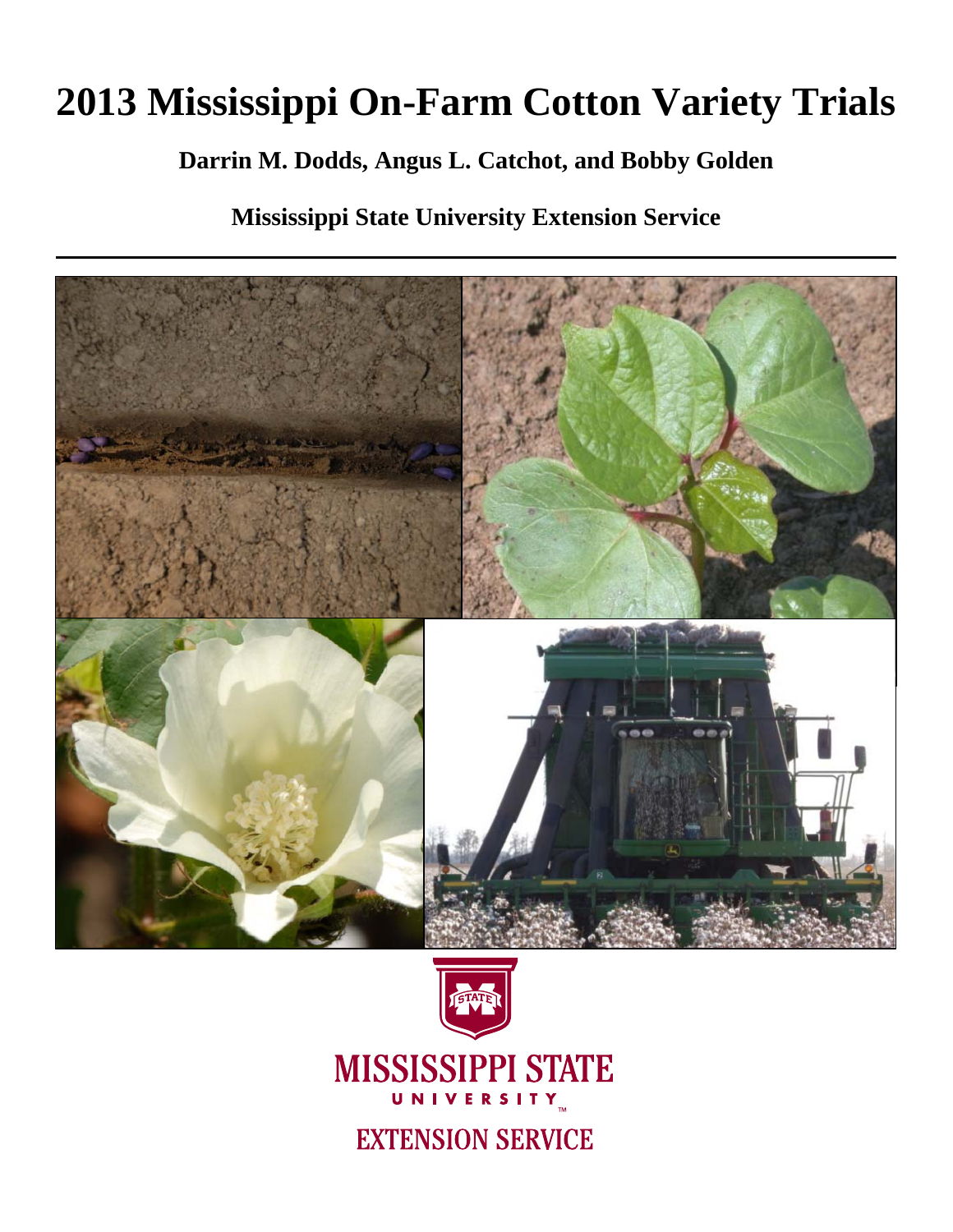# **2013 Mississippi On-Farm Cotton Variety Trials**

# **Darrin M. Dodds, Angus L. Catchot, and Bobby Golden**

**Mississippi State University Extension Service** 





# **MISSISSIPPI STATE** UNIVERSITY

**EXTENSION SERVICE**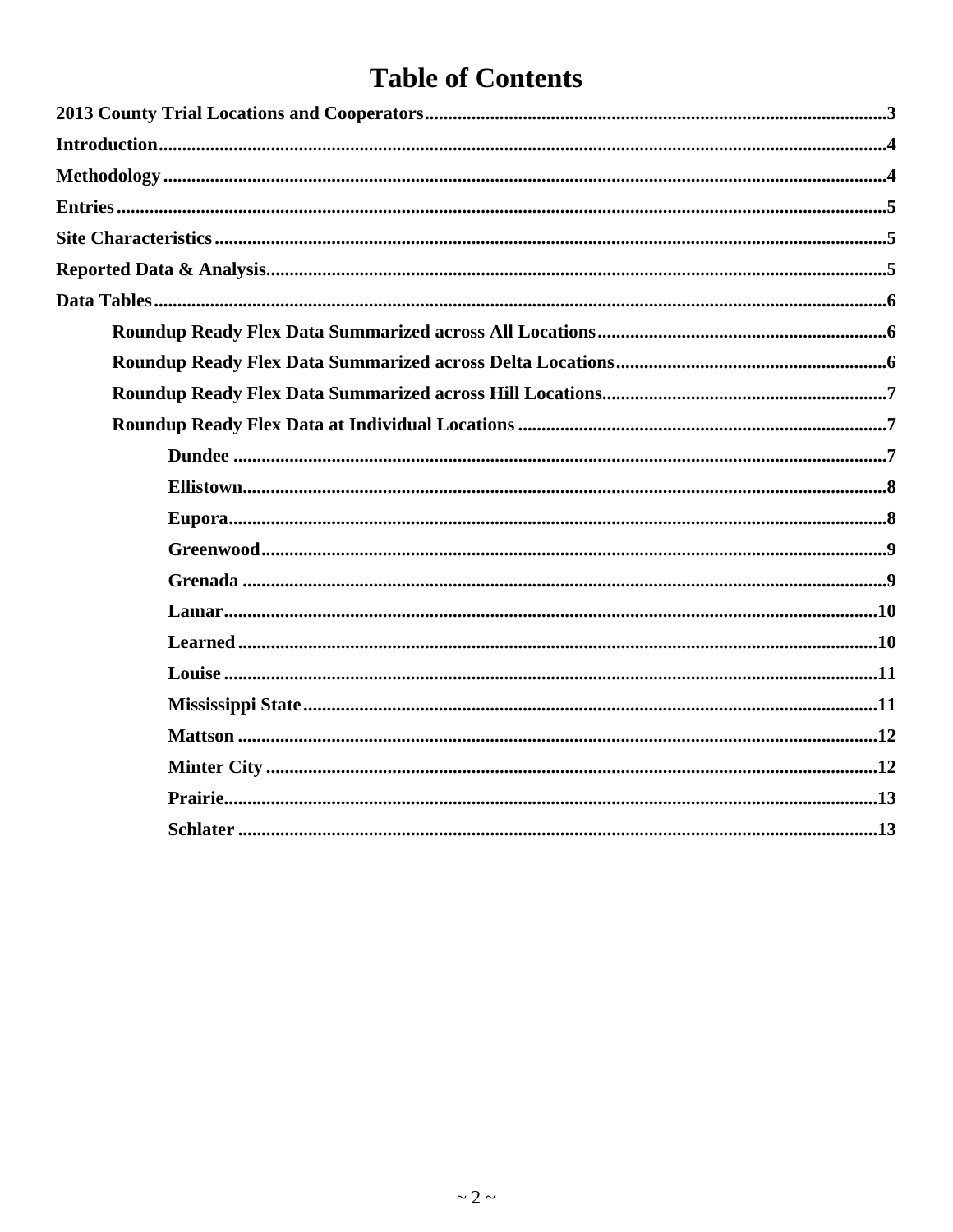# **Table of Contents**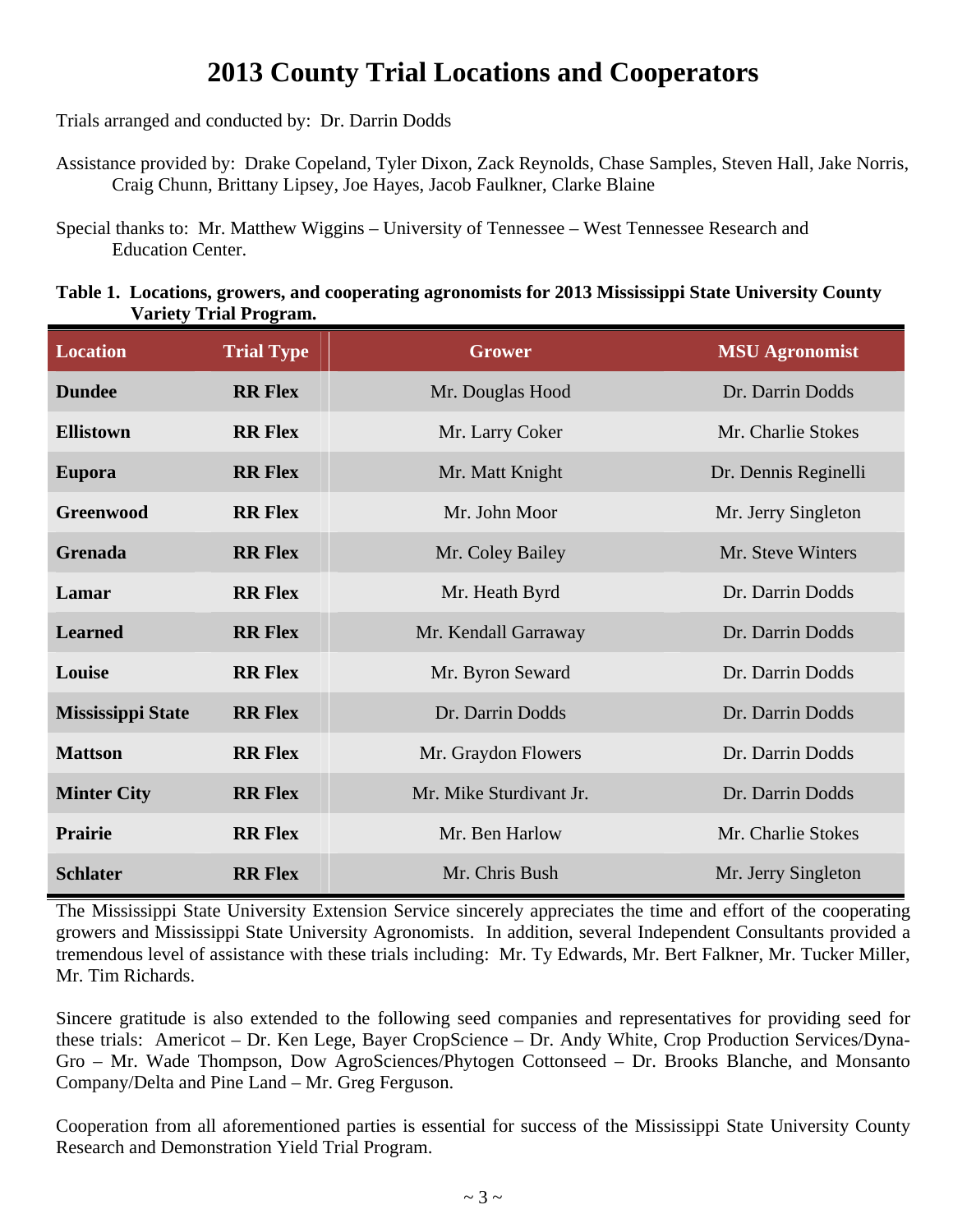# **2013 County Trial Locations and Cooperators**

Trials arranged and conducted by: Dr. Darrin Dodds

Assistance provided by: Drake Copeland, Tyler Dixon, Zack Reynolds, Chase Samples, Steven Hall, Jake Norris, Craig Chunn, Brittany Lipsey, Joe Hayes, Jacob Faulkner, Clarke Blaine

Special thanks to: Mr. Matthew Wiggins – University of Tennessee – West Tennessee Research and Education Center.

#### **Table 1. Locations, growers, and cooperating agronomists for 2013 Mississippi State University County Variety Trial Program.**

| <b>Location</b>          | <b>Trial Type</b> | Grower                  | <b>MSU Agronomist</b> |
|--------------------------|-------------------|-------------------------|-----------------------|
| <b>Dundee</b>            | <b>RR Flex</b>    | Mr. Douglas Hood        | Dr. Darrin Dodds      |
| <b>Ellistown</b>         | <b>RR Flex</b>    | Mr. Larry Coker         | Mr. Charlie Stokes    |
| <b>Eupora</b>            | <b>RR Flex</b>    | Mr. Matt Knight         | Dr. Dennis Reginelli  |
| <b>Greenwood</b>         | <b>RR Flex</b>    | Mr. John Moor           | Mr. Jerry Singleton   |
| Grenada                  | <b>RR Flex</b>    | Mr. Coley Bailey        | Mr. Steve Winters     |
| Lamar                    | <b>RR Flex</b>    | Mr. Heath Byrd          | Dr. Darrin Dodds      |
| <b>Learned</b>           | <b>RR Flex</b>    | Mr. Kendall Garraway    | Dr. Darrin Dodds      |
| Louise                   | <b>RR Flex</b>    | Mr. Byron Seward        | Dr. Darrin Dodds      |
| <b>Mississippi State</b> | <b>RR Flex</b>    | Dr. Darrin Dodds        | Dr. Darrin Dodds      |
| <b>Mattson</b>           | <b>RR Flex</b>    | Mr. Graydon Flowers     | Dr. Darrin Dodds      |
| <b>Minter City</b>       | <b>RR Flex</b>    | Mr. Mike Sturdivant Jr. | Dr. Darrin Dodds      |
| <b>Prairie</b>           | <b>RR Flex</b>    | Mr. Ben Harlow          | Mr. Charlie Stokes    |
| <b>Schlater</b>          | <b>RR Flex</b>    | Mr. Chris Bush          | Mr. Jerry Singleton   |

The Mississippi State University Extension Service sincerely appreciates the time and effort of the cooperating growers and Mississippi State University Agronomists. In addition, several Independent Consultants provided a tremendous level of assistance with these trials including: Mr. Ty Edwards, Mr. Bert Falkner, Mr. Tucker Miller, Mr. Tim Richards.

Sincere gratitude is also extended to the following seed companies and representatives for providing seed for these trials: Americot – Dr. Ken Lege, Bayer CropScience – Dr. Andy White, Crop Production Services/Dyna-Gro – Mr. Wade Thompson, Dow AgroSciences/Phytogen Cottonseed – Dr. Brooks Blanche, and Monsanto Company/Delta and Pine Land – Mr. Greg Ferguson.

Cooperation from all aforementioned parties is essential for success of the Mississippi State University County Research and Demonstration Yield Trial Program.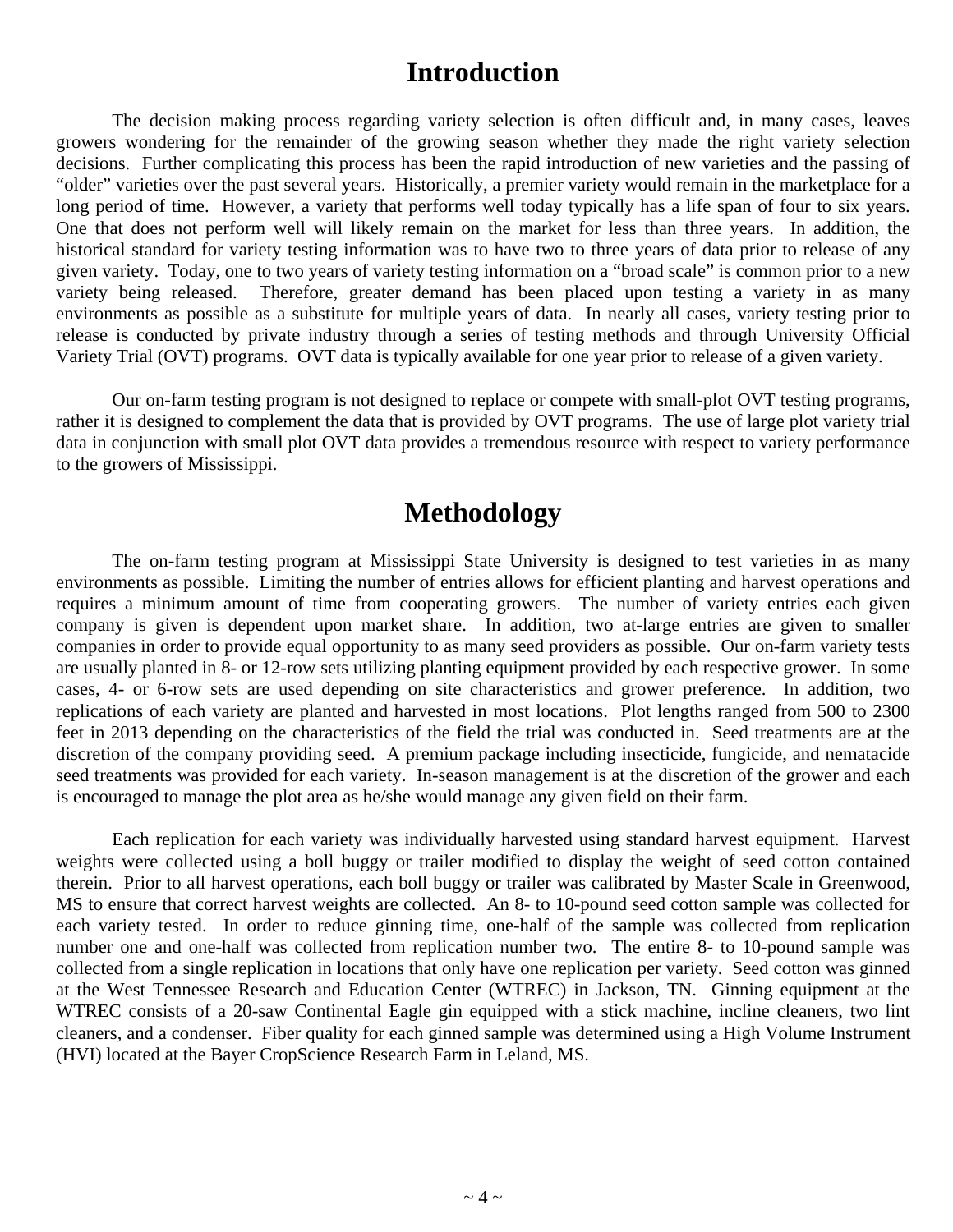# **Introduction**

 The decision making process regarding variety selection is often difficult and, in many cases, leaves growers wondering for the remainder of the growing season whether they made the right variety selection decisions. Further complicating this process has been the rapid introduction of new varieties and the passing of "older" varieties over the past several years. Historically, a premier variety would remain in the marketplace for a long period of time. However, a variety that performs well today typically has a life span of four to six years. One that does not perform well will likely remain on the market for less than three years. In addition, the historical standard for variety testing information was to have two to three years of data prior to release of any given variety. Today, one to two years of variety testing information on a "broad scale" is common prior to a new variety being released. Therefore, greater demand has been placed upon testing a variety in as many environments as possible as a substitute for multiple years of data. In nearly all cases, variety testing prior to release is conducted by private industry through a series of testing methods and through University Official Variety Trial (OVT) programs. OVT data is typically available for one year prior to release of a given variety.

 Our on-farm testing program is not designed to replace or compete with small-plot OVT testing programs, rather it is designed to complement the data that is provided by OVT programs. The use of large plot variety trial data in conjunction with small plot OVT data provides a tremendous resource with respect to variety performance to the growers of Mississippi.

# **Methodology**

The on-farm testing program at Mississippi State University is designed to test varieties in as many environments as possible. Limiting the number of entries allows for efficient planting and harvest operations and requires a minimum amount of time from cooperating growers. The number of variety entries each given company is given is dependent upon market share. In addition, two at-large entries are given to smaller companies in order to provide equal opportunity to as many seed providers as possible. Our on-farm variety tests are usually planted in 8- or 12-row sets utilizing planting equipment provided by each respective grower. In some cases, 4- or 6-row sets are used depending on site characteristics and grower preference. In addition, two replications of each variety are planted and harvested in most locations. Plot lengths ranged from 500 to 2300 feet in 2013 depending on the characteristics of the field the trial was conducted in. Seed treatments are at the discretion of the company providing seed. A premium package including insecticide, fungicide, and nematacide seed treatments was provided for each variety. In-season management is at the discretion of the grower and each is encouraged to manage the plot area as he/she would manage any given field on their farm.

Each replication for each variety was individually harvested using standard harvest equipment. Harvest weights were collected using a boll buggy or trailer modified to display the weight of seed cotton contained therein. Prior to all harvest operations, each boll buggy or trailer was calibrated by Master Scale in Greenwood, MS to ensure that correct harvest weights are collected. An 8- to 10-pound seed cotton sample was collected for each variety tested. In order to reduce ginning time, one-half of the sample was collected from replication number one and one-half was collected from replication number two. The entire 8- to 10-pound sample was collected from a single replication in locations that only have one replication per variety. Seed cotton was ginned at the West Tennessee Research and Education Center (WTREC) in Jackson, TN. Ginning equipment at the WTREC consists of a 20-saw Continental Eagle gin equipped with a stick machine, incline cleaners, two lint cleaners, and a condenser. Fiber quality for each ginned sample was determined using a High Volume Instrument (HVI) located at the Bayer CropScience Research Farm in Leland, MS.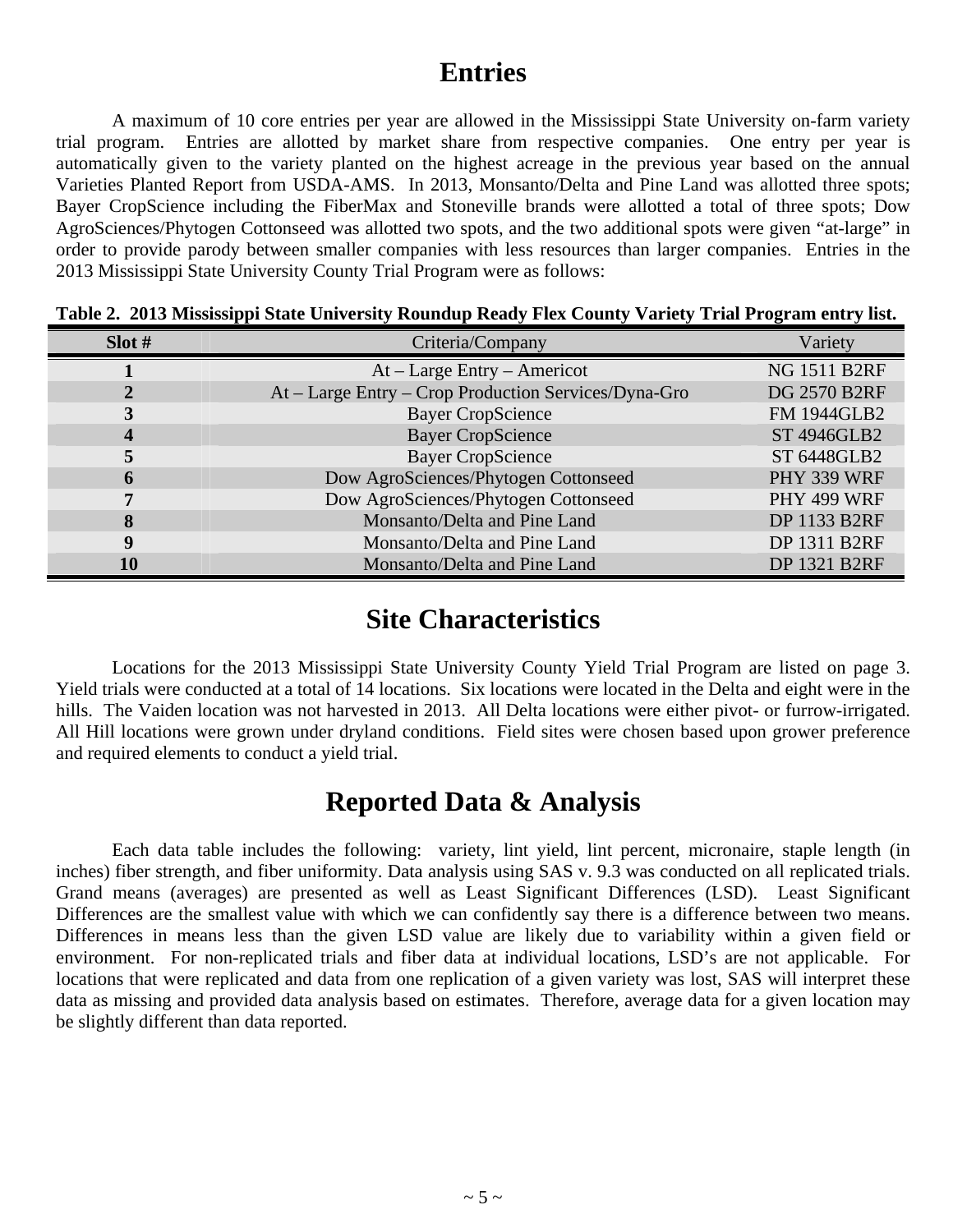# **Entries**

 A maximum of 10 core entries per year are allowed in the Mississippi State University on-farm variety trial program. Entries are allotted by market share from respective companies. One entry per year is automatically given to the variety planted on the highest acreage in the previous year based on the annual Varieties Planted Report from USDA-AMS. In 2013, Monsanto/Delta and Pine Land was allotted three spots; Bayer CropScience including the FiberMax and Stoneville brands were allotted a total of three spots; Dow AgroSciences/Phytogen Cottonseed was allotted two spots, and the two additional spots were given "at-large" in order to provide parody between smaller companies with less resources than larger companies. Entries in the 2013 Mississippi State University County Trial Program were as follows:

| Slot#            | Criteria/Company                                     | Variety             |
|------------------|------------------------------------------------------|---------------------|
|                  | $At - Large Entry - American$                        | <b>NG 1511 B2RF</b> |
|                  | At – Large Entry – Crop Production Services/Dyna-Gro | <b>DG 2570 B2RF</b> |
|                  | <b>Bayer CropScience</b>                             | <b>FM 1944GLB2</b>  |
| $\boldsymbol{4}$ | <b>Bayer CropScience</b>                             | ST 4946GLB2         |
|                  | <b>Bayer CropScience</b>                             | ST 6448GLB2         |
|                  | Dow AgroSciences/Phytogen Cottonseed                 | PHY 339 WRF         |
|                  | Dow AgroSciences/Phytogen Cottonseed                 | PHY 499 WRF         |
| 8                | Monsanto/Delta and Pine Land                         | <b>DP 1133 B2RF</b> |
| q                | Monsanto/Delta and Pine Land                         | DP 1311 B2RF        |
| 10               | Monsanto/Delta and Pine Land                         | <b>DP 1321 B2RF</b> |

**Table 2. 2013 Mississippi State University Roundup Ready Flex County Variety Trial Program entry list.** 

# **Site Characteristics**

 Locations for the 2013 Mississippi State University County Yield Trial Program are listed on page 3. Yield trials were conducted at a total of 14 locations. Six locations were located in the Delta and eight were in the hills. The Vaiden location was not harvested in 2013. All Delta locations were either pivot- or furrow-irrigated. All Hill locations were grown under dryland conditions. Field sites were chosen based upon grower preference and required elements to conduct a yield trial.

# **Reported Data & Analysis**

 Each data table includes the following: variety, lint yield, lint percent, micronaire, staple length (in inches) fiber strength, and fiber uniformity. Data analysis using SAS v. 9.3 was conducted on all replicated trials. Grand means (averages) are presented as well as Least Significant Differences (LSD). Least Significant Differences are the smallest value with which we can confidently say there is a difference between two means. Differences in means less than the given LSD value are likely due to variability within a given field or environment. For non-replicated trials and fiber data at individual locations, LSD's are not applicable. For locations that were replicated and data from one replication of a given variety was lost, SAS will interpret these data as missing and provided data analysis based on estimates. Therefore, average data for a given location may be slightly different than data reported.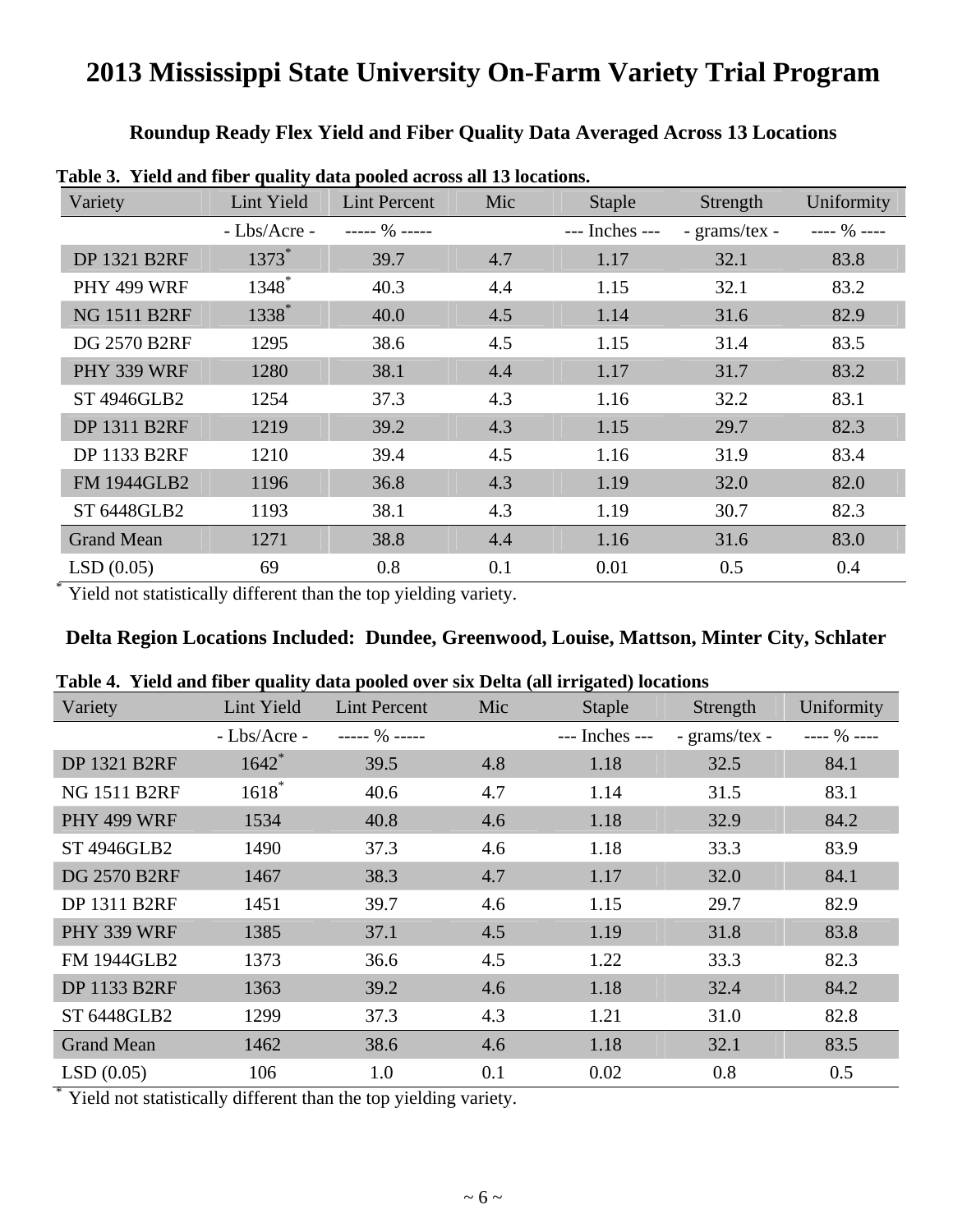### **Roundup Ready Flex Yield and Fiber Quality Data Averaged Across 13 Locations**

| Variety             | Lint Yield   | <b>Lint Percent</b> | Mic | <b>Staple</b>  | Strength      | Uniformity  |
|---------------------|--------------|---------------------|-----|----------------|---------------|-------------|
|                     | - Lbs/Acre - | $--- 96 ---$        |     | --- Inches --- | - grams/tex - | ---- % ---- |
| <b>DP 1321 B2RF</b> | $1373*$      | 39.7                | 4.7 | 1.17           | 32.1          | 83.8        |
| PHY 499 WRF         | $1348^*$     | 40.3                | 4.4 | 1.15           | 32.1          | 83.2        |
| <b>NG 1511 B2RF</b> | 1338*        | 40.0                | 4.5 | 1.14           | 31.6          | 82.9        |
| <b>DG 2570 B2RF</b> | 1295         | 38.6                | 4.5 | 1.15           | 31.4          | 83.5        |
| PHY 339 WRF         | 1280         | 38.1                | 4.4 | 1.17           | 31.7          | 83.2        |
| <b>ST 4946GLB2</b>  | 1254         | 37.3                | 4.3 | 1.16           | 32.2          | 83.1        |
| <b>DP 1311 B2RF</b> | 1219         | 39.2                | 4.3 | 1.15           | 29.7          | 82.3        |
| <b>DP 1133 B2RF</b> | 1210         | 39.4                | 4.5 | 1.16           | 31.9          | 83.4        |
| <b>FM 1944GLB2</b>  | 1196         | 36.8                | 4.3 | 1.19           | 32.0          | 82.0        |
| ST 6448GLB2         | 1193         | 38.1                | 4.3 | 1.19           | 30.7          | 82.3        |
| <b>Grand Mean</b>   | 1271         | 38.8                | 4.4 | 1.16           | 31.6          | 83.0        |
| LSD(0.05)           | 69           | 0.8                 | 0.1 | 0.01           | 0.5           | 0.4         |

**Table 3. Yield and fiber quality data pooled across all 13 locations.** 

\* Yield not statistically different than the top yielding variety.

#### **Delta Region Locations Included: Dundee, Greenwood, Louise, Mattson, Minter City, Schlater**

| Variety             | Lint Yield     | Lint Percent | Mic | Staple         | Strength      | Uniformity   |
|---------------------|----------------|--------------|-----|----------------|---------------|--------------|
|                     | $-Lbs/Arcre -$ | $--- 96 ---$ |     | --- Inches --- | - grams/tex - | $--- 96 ---$ |
| <b>DP 1321 B2RF</b> | $1642$ *       | 39.5         | 4.8 | 1.18           | 32.5          | 84.1         |
| <b>NG 1511 B2RF</b> | $1618*$        | 40.6         | 4.7 | 1.14           | 31.5          | 83.1         |
| PHY 499 WRF         | 1534           | 40.8         | 4.6 | 1.18           | 32.9          | 84.2         |
| <b>ST 4946GLB2</b>  | 1490           | 37.3         | 4.6 | 1.18           | 33.3          | 83.9         |
| <b>DG 2570 B2RF</b> | 1467           | 38.3         | 4.7 | 1.17           | 32.0          | 84.1         |
| DP 1311 B2RF        | 1451           | 39.7         | 4.6 | 1.15           | 29.7          | 82.9         |
| PHY 339 WRF         | 1385           | 37.1         | 4.5 | 1.19           | 31.8          | 83.8         |
| <b>FM 1944GLB2</b>  | 1373           | 36.6         | 4.5 | 1.22           | 33.3          | 82.3         |
| <b>DP 1133 B2RF</b> | 1363           | 39.2         | 4.6 | 1.18           | 32.4          | 84.2         |
| ST 6448GLB2         | 1299           | 37.3         | 4.3 | 1.21           | 31.0          | 82.8         |
| <b>Grand Mean</b>   | 1462           | 38.6         | 4.6 | 1.18           | 32.1          | 83.5         |
| LSD(0.05)           | 106            | 1.0          | 0.1 | 0.02           | 0.8           | 0.5          |

| Table 4. Yield and fiber quality data pooled over six Delta (all irrigated) locations |  |  |  |
|---------------------------------------------------------------------------------------|--|--|--|
|                                                                                       |  |  |  |

\* Yield not statistically different than the top yielding variety.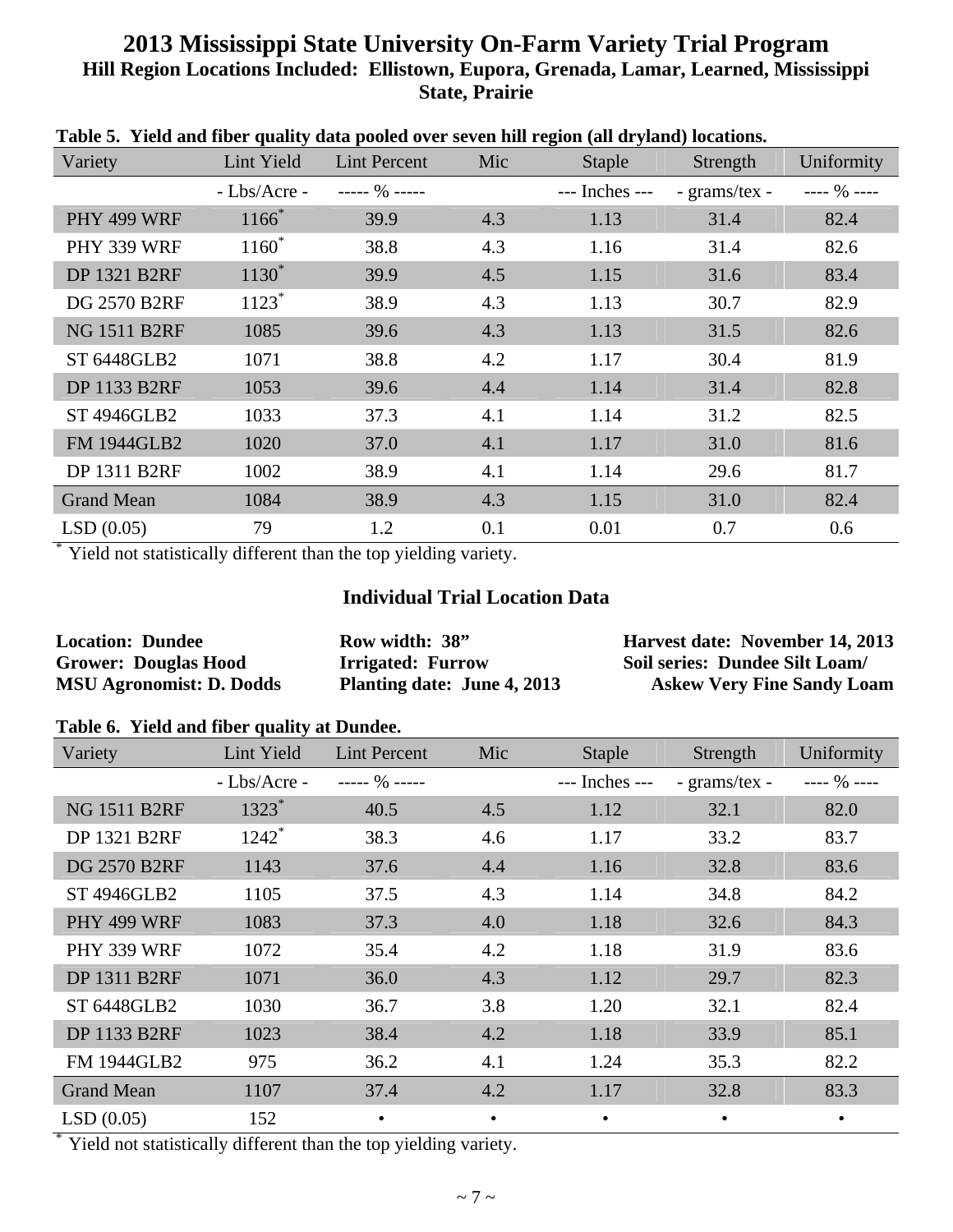### **2013 Mississippi State University On-Farm Variety Trial Program Hill Region Locations Included: Ellistown, Eupora, Grenada, Lamar, Learned, Mississippi State, Prairie**

| таяк эт тили ани пяст диангу иаа ролси этст жтеп нш гедряг (ан игумни) юсаноня<br>Variety | Lint Yield          | <b>Lint Percent</b> | Mic | <b>Staple</b>  | Strength      | Uniformity   |
|-------------------------------------------------------------------------------------------|---------------------|---------------------|-----|----------------|---------------|--------------|
|                                                                                           | $-Lbs/Arcre-$       | $--- 96 ---$        |     | --- Inches --- | - grams/tex - | $--- 96 ---$ |
| PHY 499 WRF                                                                               | $1166*$             | 39.9                | 4.3 | 1.13           | 31.4          | 82.4         |
| PHY 339 WRF                                                                               | $1160^*$            | 38.8                | 4.3 | 1.16           | 31.4          | 82.6         |
| <b>DP 1321 B2RF</b>                                                                       | $1130^*$            | 39.9                | 4.5 | 1.15           | 31.6          | 83.4         |
| <b>DG 2570 B2RF</b>                                                                       | $1123$ <sup>*</sup> | 38.9                | 4.3 | 1.13           | 30.7          | 82.9         |
| <b>NG 1511 B2RF</b>                                                                       | 1085                | 39.6                | 4.3 | 1.13           | 31.5          | 82.6         |
| ST 6448GLB2                                                                               | 1071                | 38.8                | 4.2 | 1.17           | 30.4          | 81.9         |
| <b>DP 1133 B2RF</b>                                                                       | 1053                | 39.6                | 4.4 | 1.14           | 31.4          | 82.8         |
| <b>ST 4946GLB2</b>                                                                        | 1033                | 37.3                | 4.1 | 1.14           | 31.2          | 82.5         |
| <b>FM 1944GLB2</b>                                                                        | 1020                | 37.0                | 4.1 | 1.17           | 31.0          | 81.6         |
| <b>DP 1311 B2RF</b>                                                                       | 1002                | 38.9                | 4.1 | 1.14           | 29.6          | 81.7         |
| <b>Grand Mean</b>                                                                         | 1084                | 38.9                | 4.3 | 1.15           | 31.0          | 82.4         |
| LSD(0.05)                                                                                 | 79                  | 1.2                 | 0.1 | 0.01           | 0.7           | 0.6          |

**Table 5. Yield and fiber quality data pooled over seven hill region (all dryland) locations.**

\* Yield not statistically different than the top yielding variety.

#### **Individual Trial Location Data**

| <b>Location: Dundee</b>         | Row width: 38"              | Harvest date: November 14, 2013   |
|---------------------------------|-----------------------------|-----------------------------------|
| <b>Grower: Douglas Hood</b>     | <b>Irrigated: Furrow</b>    | Soil series: Dundee Silt Loam/    |
| <b>MSU Agronomist: D. Dodds</b> | Planting date: June 4, 2013 | <b>Askew Very Fine Sandy Loam</b> |

#### **Table 6. Yield and fiber quality at Dundee.**

| Variety             | Lint Yield          | <b>Lint Percent</b> | Mic       | <b>Staple</b>  | Strength      | Uniformity   |
|---------------------|---------------------|---------------------|-----------|----------------|---------------|--------------|
|                     | $-Lbs/Arcre-$       | $--- 90$ $---$      |           | --- Inches --- | - grams/tex - | $--- 96 ---$ |
| <b>NG 1511 B2RF</b> | $1323*$             | 40.5                | 4.5       | 1.12           | 32.1          | 82.0         |
| <b>DP 1321 B2RF</b> | $1242$ <sup>*</sup> | 38.3                | 4.6       | 1.17           | 33.2          | 83.7         |
| <b>DG 2570 B2RF</b> | 1143                | 37.6                | 4.4       | 1.16           | 32.8          | 83.6         |
| <b>ST 4946GLB2</b>  | 1105                | 37.5                | 4.3       | 1.14           | 34.8          | 84.2         |
| PHY 499 WRF         | 1083                | 37.3                | 4.0       | 1.18           | 32.6          | 84.3         |
| PHY 339 WRF         | 1072                | 35.4                | 4.2       | 1.18           | 31.9          | 83.6         |
| DP 1311 B2RF        | 1071                | 36.0                | 4.3       | 1.12           | 29.7          | 82.3         |
| ST 6448GLB2         | 1030                | 36.7                | 3.8       | 1.20           | 32.1          | 82.4         |
| <b>DP 1133 B2RF</b> | 1023                | 38.4                | 4.2       | 1.18           | 33.9          | 85.1         |
| <b>FM 1944GLB2</b>  | 975                 | 36.2                | 4.1       | 1.24           | 35.3          | 82.2         |
| <b>Grand Mean</b>   | 1107                | 37.4                | 4.2       | 1.17           | 32.8          | 83.3         |
| LSD(0.05)           | 152                 | $\bullet$           | $\bullet$ |                |               | $\bullet$    |

Yield not statistically different than the top yielding variety.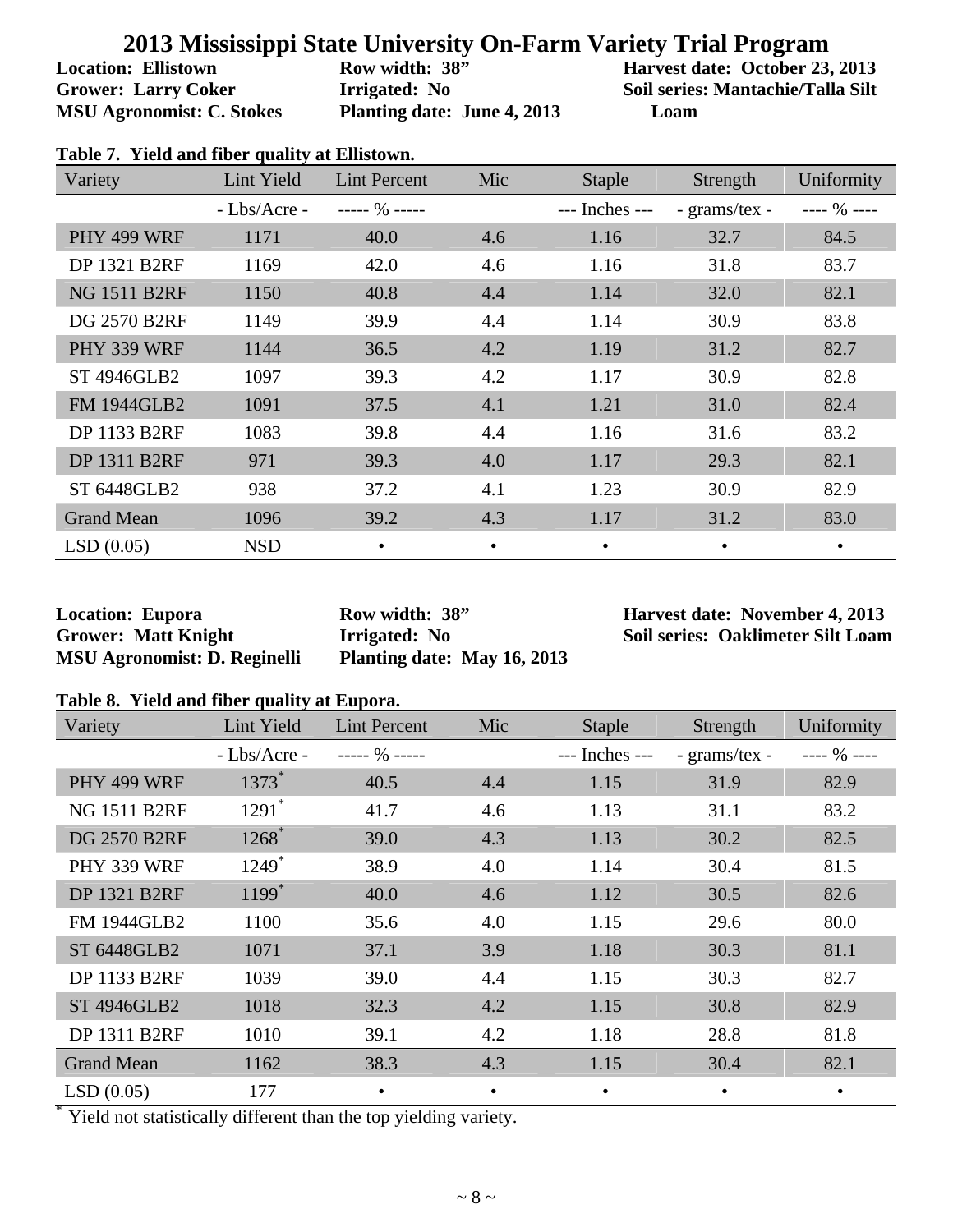**Location: Ellistown Grower: Larry Coker MSU Agronomist: C. Stokes**  **Row width: 38" Irrigated: No Planting date: June 4, 2013**  **Harvest date: October 23, 2013 Soil series: Mantachie/Talla Silt Loam**

|  |  |  |  |  | Table 7. Yield and fiber quality at Ellistown. |
|--|--|--|--|--|------------------------------------------------|
|--|--|--|--|--|------------------------------------------------|

| Variety             | Lint Yield    | <b>Lint Percent</b> | Mic       | Staple             | Strength      | Uniformity   |
|---------------------|---------------|---------------------|-----------|--------------------|---------------|--------------|
|                     | $-Lbs/Arcre-$ | $--- 96 ---$        |           | $---$ Inches $---$ | - grams/tex - | $--- 96 ---$ |
| PHY 499 WRF         | 1171          | 40.0                | 4.6       | 1.16               | 32.7          | 84.5         |
| <b>DP 1321 B2RF</b> | 1169          | 42.0                | 4.6       | 1.16               | 31.8          | 83.7         |
| <b>NG 1511 B2RF</b> | 1150          | 40.8                | 4.4       | 1.14               | 32.0          | 82.1         |
| <b>DG 2570 B2RF</b> | 1149          | 39.9                | 4.4       | 1.14               | 30.9          | 83.8         |
| PHY 339 WRF         | 1144          | 36.5                | 4.2       | 1.19               | 31.2          | 82.7         |
| <b>ST 4946GLB2</b>  | 1097          | 39.3                | 4.2       | 1.17               | 30.9          | 82.8         |
| <b>FM 1944GLB2</b>  | 1091          | 37.5                | 4.1       | 1.21               | 31.0          | 82.4         |
| DP 1133 B2RF        | 1083          | 39.8                | 4.4       | 1.16               | 31.6          | 83.2         |
| <b>DP 1311 B2RF</b> | 971           | 39.3                | 4.0       | 1.17               | 29.3          | 82.1         |
| ST 6448GLB2         | 938           | 37.2                | 4.1       | 1.23               | 30.9          | 82.9         |
| <b>Grand Mean</b>   | 1096          | 39.2                | 4.3       | 1.17               | 31.2          | 83.0         |
| LSD(0.05)           | <b>NSD</b>    | $\bullet$           | $\bullet$ | $\bullet$          | $\bullet$     | $\bullet$    |

**Location: Eupora Grower: Matt Knight MSU Agronomist: D. Reginelli**  **Row width: 38" Irrigated: No Planting date: May 16, 2013**  **Harvest date: November 4, 2013 Soil series: Oaklimeter Silt Loam**

#### **Table 8. Yield and fiber quality at Eupora.**

| Variety             | Lint Yield          | <b>Lint Percent</b> | Mic       | <b>Staple</b>  | Strength      | Uniformity   |
|---------------------|---------------------|---------------------|-----------|----------------|---------------|--------------|
|                     | - Lbs/Acre -        | ----- $\%$ -----    |           | --- Inches --- | - grams/tex - | $--- 96 ---$ |
| PHY 499 WRF         | $1373*$             | 40.5                | 4.4       | 1.15           | 31.9          | 82.9         |
| <b>NG 1511 B2RF</b> | $1291$ <sup>*</sup> | 41.7                | 4.6       | 1.13           | 31.1          | 83.2         |
| <b>DG 2570 B2RF</b> | $1268^*$            | 39.0                | 4.3       | 1.13           | 30.2          | 82.5         |
| PHY 339 WRF         | $1249*$             | 38.9                | 4.0       | 1.14           | 30.4          | 81.5         |
| <b>DP 1321 B2RF</b> | $1199*$             | 40.0                | 4.6       | 1.12           | 30.5          | 82.6         |
| FM 1944GLB2         | 1100                | 35.6                | 4.0       | 1.15           | 29.6          | 80.0         |
| <b>ST 6448GLB2</b>  | 1071                | 37.1                | 3.9       | 1.18           | 30.3          | 81.1         |
| <b>DP 1133 B2RF</b> | 1039                | 39.0                | 4.4       | 1.15           | 30.3          | 82.7         |
| <b>ST 4946GLB2</b>  | 1018                | 32.3                | 4.2       | 1.15           | 30.8          | 82.9         |
| DP 1311 B2RF        | 1010                | 39.1                | 4.2       | 1.18           | 28.8          | 81.8         |
| <b>Grand Mean</b>   | 1162                | 38.3                | 4.3       | 1.15           | 30.4          | 82.1         |
| LSD(0.05)           | 177                 | $\bullet$           | $\bullet$ |                | ٠             | ٠            |

Yield not statistically different than the top yielding variety.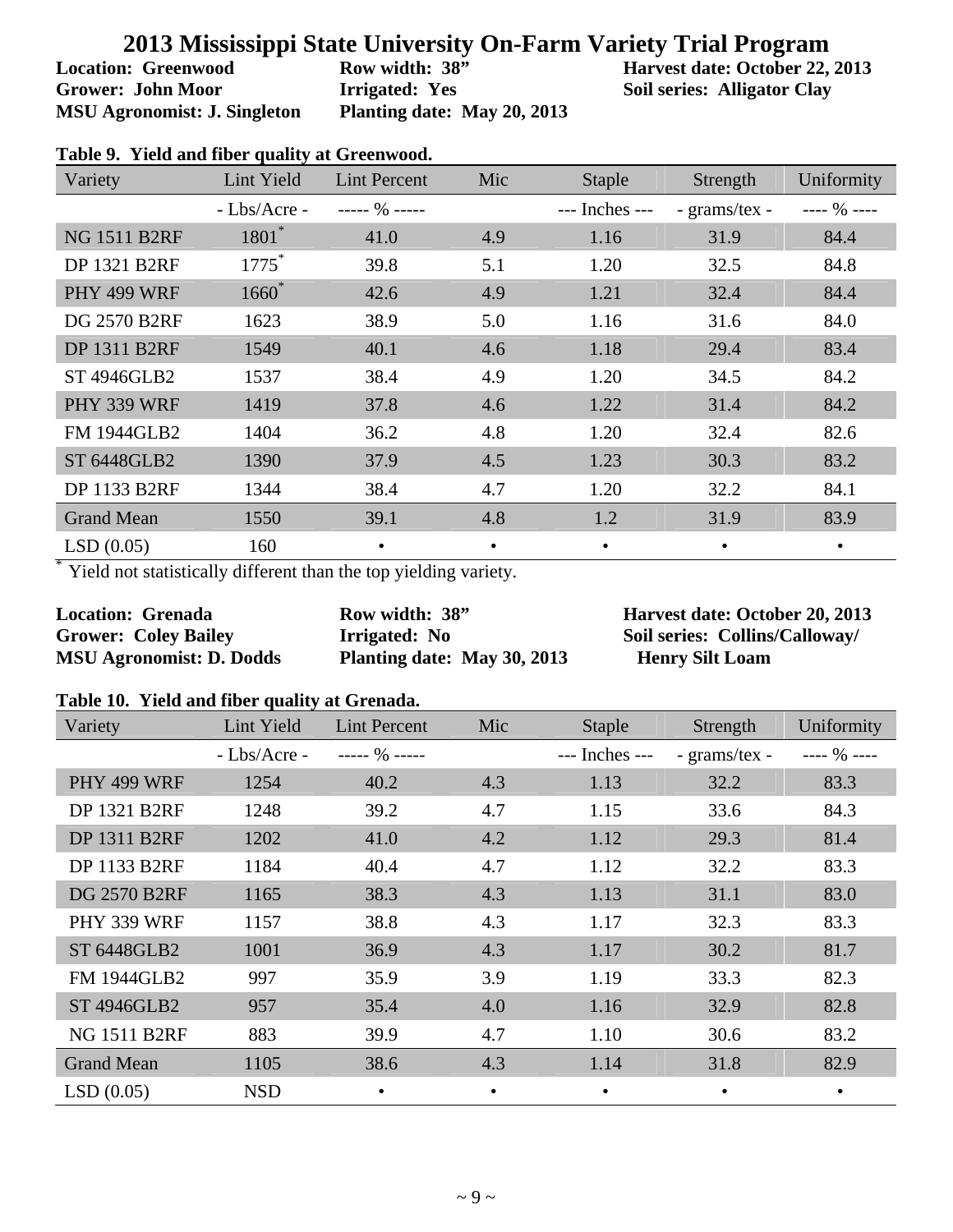**Location: Greenwood Grower: John Moor MSU Agronomist: J. Singleton**  **Row width: 38" Irrigated: Yes Planting date: May 20, 2013**  **Harvest date: October 22, 2013 Soil series: Alligator Clay**

| Variety             | Lint Yield    | <b>Lint Percent</b> | Mic       | <b>Staple</b>  | Strength      | Uniformity   |
|---------------------|---------------|---------------------|-----------|----------------|---------------|--------------|
|                     | $-Lbs/Arcre-$ | $--- 90$ $---$      |           | --- Inches --- | - grams/tex - | $--- 96 ---$ |
| <b>NG 1511 B2RF</b> | $1801*$       | 41.0                | 4.9       | 1.16           | 31.9          | 84.4         |
| <b>DP 1321 B2RF</b> | $1775^*$      | 39.8                | 5.1       | 1.20           | 32.5          | 84.8         |
| PHY 499 WRF         | $1660^*$      | 42.6                | 4.9       | 1.21           | 32.4          | 84.4         |
| <b>DG 2570 B2RF</b> | 1623          | 38.9                | 5.0       | 1.16           | 31.6          | 84.0         |
| <b>DP 1311 B2RF</b> | 1549          | 40.1                | 4.6       | 1.18           | 29.4          | 83.4         |
| <b>ST 4946GLB2</b>  | 1537          | 38.4                | 4.9       | 1.20           | 34.5          | 84.2         |
| PHY 339 WRF         | 1419          | 37.8                | 4.6       | 1.22           | 31.4          | 84.2         |
| <b>FM 1944GLB2</b>  | 1404          | 36.2                | 4.8       | 1.20           | 32.4          | 82.6         |
| <b>ST 6448GLB2</b>  | 1390          | 37.9                | 4.5       | 1.23           | 30.3          | 83.2         |
| <b>DP 1133 B2RF</b> | 1344          | 38.4                | 4.7       | 1.20           | 32.2          | 84.1         |
| <b>Grand Mean</b>   | 1550          | 39.1                | 4.8       | 1.2            | 31.9          | 83.9         |
| LSD(0.05)           | 160           | $\bullet$           | $\bullet$ | $\bullet$      | $\bullet$     |              |

#### **Table 9. Yield and fiber quality at Greenwood.**

Yield not statistically different than the top yielding variety.

| <b>Location: Grenada</b>        | Row width: 38"              |
|---------------------------------|-----------------------------|
| <b>Grower: Coley Bailey</b>     | Irrigated: No               |
| <b>MSU Agronomist: D. Dodds</b> | Planting date: May 30, 2013 |

**Harvest date: October 20, 2013 Soil series: Collins/Calloway/ Henry Silt Loam**

#### **Table 10. Yield and fiber quality at Grenada.**

| Variety             | Lint Yield    | <b>Lint Percent</b> | Mic       | <b>Staple</b>  | Strength      | Uniformity   |
|---------------------|---------------|---------------------|-----------|----------------|---------------|--------------|
|                     | $-Lbs/Arcre-$ | ----- $\%$ -----    |           | --- Inches --- | - grams/tex - | $--- 96 ---$ |
| PHY 499 WRF         | 1254          | 40.2                | 4.3       | 1.13           | 32.2          | 83.3         |
| <b>DP 1321 B2RF</b> | 1248          | 39.2                | 4.7       | 1.15           | 33.6          | 84.3         |
| <b>DP 1311 B2RF</b> | 1202          | 41.0                | 4.2       | 1.12           | 29.3          | 81.4         |
| <b>DP 1133 B2RF</b> | 1184          | 40.4                | 4.7       | 1.12           | 32.2          | 83.3         |
| <b>DG 2570 B2RF</b> | 1165          | 38.3                | 4.3       | 1.13           | 31.1          | 83.0         |
| PHY 339 WRF         | 1157          | 38.8                | 4.3       | 1.17           | 32.3          | 83.3         |
| <b>ST 6448GLB2</b>  | 1001          | 36.9                | 4.3       | 1.17           | 30.2          | 81.7         |
| <b>FM 1944GLB2</b>  | 997           | 35.9                | 3.9       | 1.19           | 33.3          | 82.3         |
| <b>ST 4946GLB2</b>  | 957           | 35.4                | 4.0       | 1.16           | 32.9          | 82.8         |
| <b>NG 1511 B2RF</b> | 883           | 39.9                | 4.7       | 1.10           | 30.6          | 83.2         |
| <b>Grand Mean</b>   | 1105          | 38.6                | 4.3       | 1.14           | 31.8          | 82.9         |
| LSD(0.05)           | <b>NSD</b>    | $\bullet$           | $\bullet$ |                | $\bullet$     | ٠            |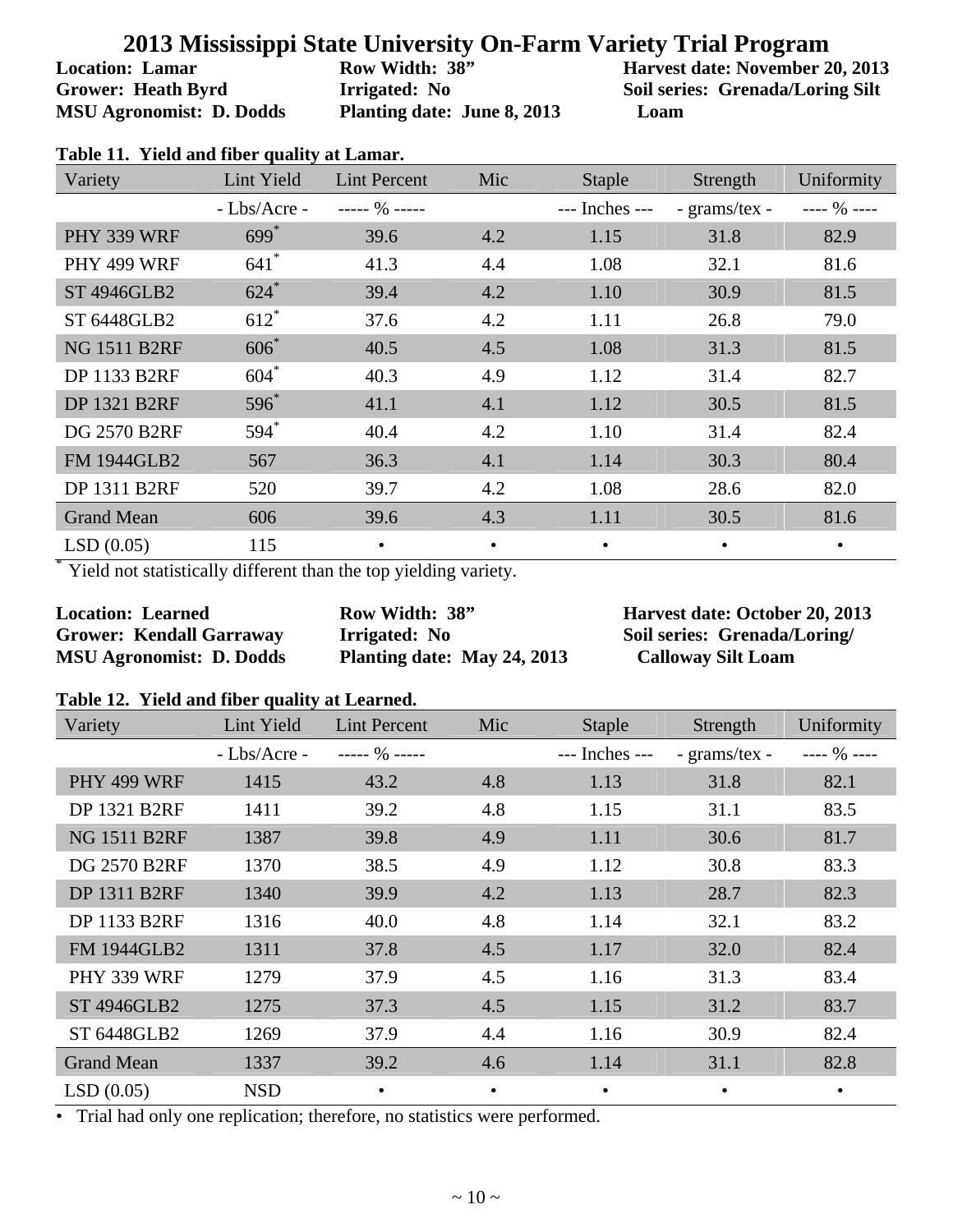**Location: Lamar Grower: Heath Byrd MSU Agronomist: D. Dodds**  **Row Width: 38" Irrigated: No Planting date: June 8, 2013**  **Harvest date: November 20, 2013 Soil series: Grenada/Loring Silt Loam** 

| Variety             | Lint Yield         | <b>Lint Percent</b> | Mic | <b>Staple</b>  | Strength      | Uniformity   |
|---------------------|--------------------|---------------------|-----|----------------|---------------|--------------|
|                     | $-Lbs/Arcre-$      | $--- 96 ---$        |     | --- Inches --- | - grams/tex - | $--- 96 ---$ |
| PHY 339 WRF         | $699*$             | 39.6                | 4.2 | 1.15           | 31.8          | 82.9         |
| PHY 499 WRF         | $641$ <sup>*</sup> | 41.3                | 4.4 | 1.08           | 32.1          | 81.6         |
| <b>ST 4946GLB2</b>  | $624*$             | 39.4                | 4.2 | 1.10           | 30.9          | 81.5         |
| <b>ST 6448GLB2</b>  | $612*$             | 37.6                | 4.2 | 1.11           | 26.8          | 79.0         |
| <b>NG 1511 B2RF</b> | $606*$             | 40.5                | 4.5 | 1.08           | 31.3          | 81.5         |
| DP 1133 B2RF        | $604*$             | 40.3                | 4.9 | 1.12           | 31.4          | 82.7         |
| <b>DP 1321 B2RF</b> | $596^*$            | 41.1                | 4.1 | 1.12           | 30.5          | 81.5         |
| <b>DG 2570 B2RF</b> | $594*$             | 40.4                | 4.2 | 1.10           | 31.4          | 82.4         |
| <b>FM 1944GLB2</b>  | 567                | 36.3                | 4.1 | 1.14           | 30.3          | 80.4         |
| DP 1311 B2RF        | 520                | 39.7                | 4.2 | 1.08           | 28.6          | 82.0         |
| <b>Grand Mean</b>   | 606                | 39.6                | 4.3 | 1.11           | 30.5          | 81.6         |
| LSD(0.05)           | 115                |                     |     |                | $\bullet$     |              |

Yield not statistically different than the top yielding variety.

**Location: Learned Grower: Kendall Garraway MSU Agronomist: D. Dodds**  **Row Width: 38" Irrigated: No Planting date: May 24, 2013**  **Harvest date: October 20, 2013 Soil series: Grenada/Loring/ Calloway Silt Loam** 

#### **Table 12. Yield and fiber quality at Learned.**

| Variety             | Lint Yield    | <b>Lint Percent</b> | Mic       | <b>Staple</b>  | Strength      | Uniformity   |
|---------------------|---------------|---------------------|-----------|----------------|---------------|--------------|
|                     | $-Lbs/Arcre-$ | $--- 90$ $---$      |           | --- Inches --- | - grams/tex - | $--- 96 ---$ |
| PHY 499 WRF         | 1415          | 43.2                | 4.8       | 1.13           | 31.8          | 82.1         |
| <b>DP 1321 B2RF</b> | 1411          | 39.2                | 4.8       | 1.15           | 31.1          | 83.5         |
| <b>NG 1511 B2RF</b> | 1387          | 39.8                | 4.9       | 1.11           | 30.6          | 81.7         |
| <b>DG 2570 B2RF</b> | 1370          | 38.5                | 4.9       | 1.12           | 30.8          | 83.3         |
| <b>DP 1311 B2RF</b> | 1340          | 39.9                | 4.2       | 1.13           | 28.7          | 82.3         |
| DP 1133 B2RF        | 1316          | 40.0                | 4.8       | 1.14           | 32.1          | 83.2         |
| <b>FM 1944GLB2</b>  | 1311          | 37.8                | 4.5       | 1.17           | 32.0          | 82.4         |
| PHY 339 WRF         | 1279          | 37.9                | 4.5       | 1.16           | 31.3          | 83.4         |
| <b>ST 4946GLB2</b>  | 1275          | 37.3                | 4.5       | 1.15           | 31.2          | 83.7         |
| ST 6448GLB2         | 1269          | 37.9                | 4.4       | 1.16           | 30.9          | 82.4         |
| <b>Grand Mean</b>   | 1337          | 39.2                | 4.6       | 1.14           | 31.1          | 82.8         |
| LSD(0.05)           | <b>NSD</b>    | $\bullet$           | $\bullet$ | $\bullet$      |               | $\bullet$    |

• Trial had only one replication; therefore, no statistics were performed.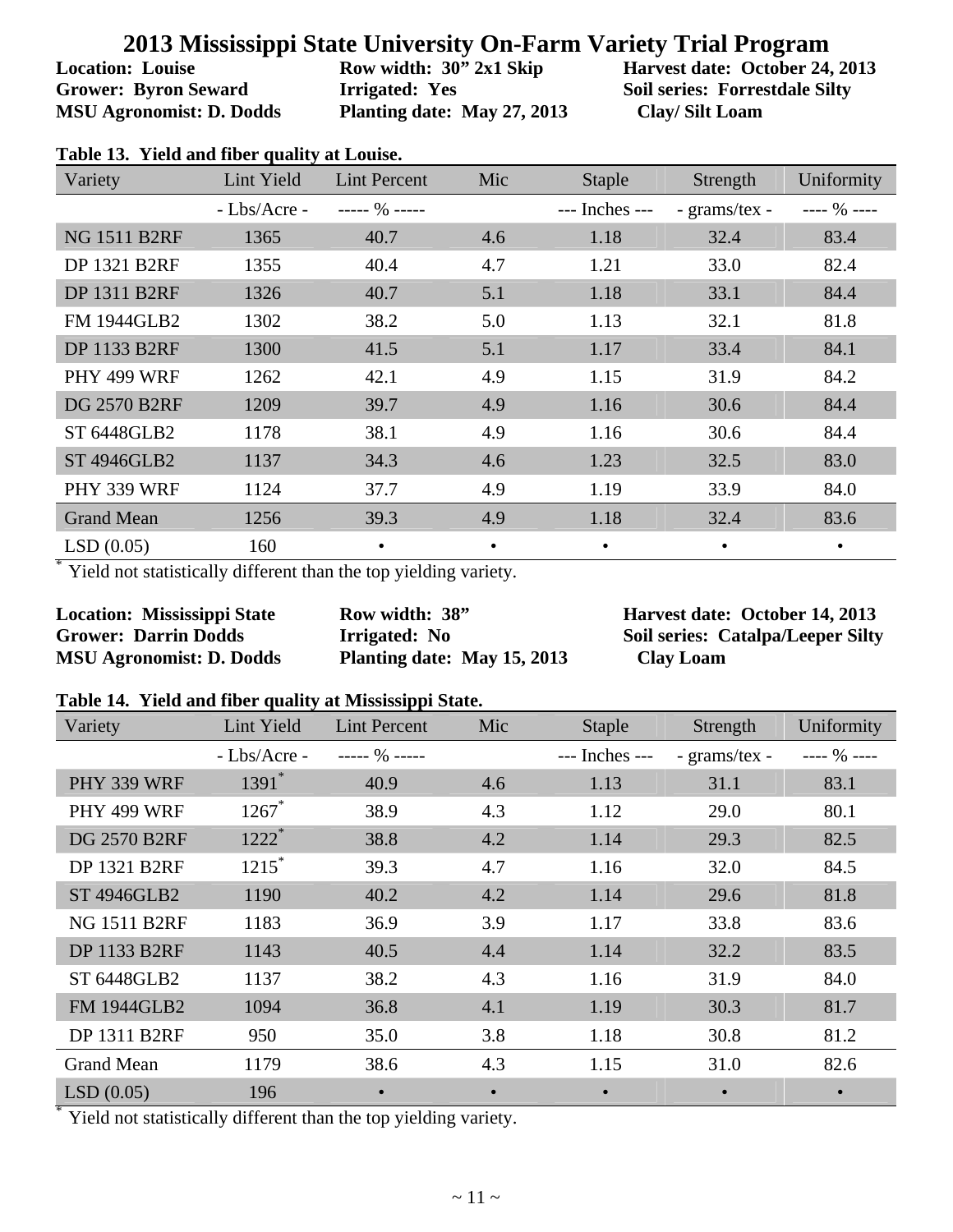**Location: Louise Grower: Byron Seward MSU Agronomist: D. Dodds**  **Row width: 30" 2x1 Skip Irrigated: Yes Planting date: May 27, 2013**  **Harvest date: October 24, 2013 Soil series: Forrestdale Silty Clay/ Silt Loam**

| Table 13. Yield and fiber quality at Louise. |  |
|----------------------------------------------|--|
|----------------------------------------------|--|

| Variety             | Lint Yield    | <b>Lint Percent</b> | Mic       | <b>Staple</b>      | Strength      | Uniformity   |
|---------------------|---------------|---------------------|-----------|--------------------|---------------|--------------|
|                     | $-Lbs/Arcre-$ | $--- 96 ---$        |           | $---$ Inches $---$ | - grams/tex - | $--- 96 ---$ |
| <b>NG 1511 B2RF</b> | 1365          | 40.7                | 4.6       | 1.18               | 32.4          | 83.4         |
| DP 1321 B2RF        | 1355          | 40.4                | 4.7       | 1.21               | 33.0          | 82.4         |
| <b>DP 1311 B2RF</b> | 1326          | 40.7                | 5.1       | 1.18               | 33.1          | 84.4         |
| <b>FM 1944GLB2</b>  | 1302          | 38.2                | 5.0       | 1.13               | 32.1          | 81.8         |
| DP 1133 B2RF        | 1300          | 41.5                | 5.1       | 1.17               | 33.4          | 84.1         |
| PHY 499 WRF         | 1262          | 42.1                | 4.9       | 1.15               | 31.9          | 84.2         |
| <b>DG 2570 B2RF</b> | 1209          | 39.7                | 4.9       | 1.16               | 30.6          | 84.4         |
| ST 6448GLB2         | 1178          | 38.1                | 4.9       | 1.16               | 30.6          | 84.4         |
| <b>ST 4946GLB2</b>  | 1137          | 34.3                | 4.6       | 1.23               | 32.5          | 83.0         |
| PHY 339 WRF         | 1124          | 37.7                | 4.9       | 1.19               | 33.9          | 84.0         |
| <b>Grand Mean</b>   | 1256          | 39.3                | 4.9       | 1.18               | 32.4          | 83.6         |
| LSD(0.05)           | 160           |                     | $\bullet$ | $\bullet$          | $\bullet$     | $\bullet$    |

Yield not statistically different than the top yielding variety.

| <b>Location: Mississippi State</b> |
|------------------------------------|
| <b>Grower: Darrin Dodds</b>        |
| <b>MSU Agronomist: D. Dodds</b>    |

**Row width: 38" Irrigated: No Planting date: May 15, 2013**  **Harvest date: October 14, 2013 Soil series: Catalpa/Leeper Silty Clay Loam**

#### **Table 14. Yield and fiber quality at Mississippi State.**

| Variety             | Lint Yield          | <b>Lint Percent</b> | Mic       | <b>Staple</b>  | Strength      | Uniformity   |
|---------------------|---------------------|---------------------|-----------|----------------|---------------|--------------|
|                     | $-Lbs/Arcre-$       | $--- 90$ $---$      |           | --- Inches --- | - grams/tex - | $--- 96 ---$ |
| PHY 339 WRF         | $1391$ *            | 40.9                | 4.6       | 1.13           | 31.1          | 83.1         |
| PHY 499 WRF         | $1267$ *            | 38.9                | 4.3       | 1.12           | 29.0          | 80.1         |
| <b>DG 2570 B2RF</b> | $1222$ <sup>*</sup> | 38.8                | 4.2       | 1.14           | 29.3          | 82.5         |
| <b>DP 1321 B2RF</b> | $1215*$             | 39.3                | 4.7       | 1.16           | 32.0          | 84.5         |
| <b>ST 4946GLB2</b>  | 1190                | 40.2                | 4.2       | 1.14           | 29.6          | 81.8         |
| <b>NG 1511 B2RF</b> | 1183                | 36.9                | 3.9       | 1.17           | 33.8          | 83.6         |
| <b>DP 1133 B2RF</b> | 1143                | 40.5                | 4.4       | 1.14           | 32.2          | 83.5         |
| ST 6448GLB2         | 1137                | 38.2                | 4.3       | 1.16           | 31.9          | 84.0         |
| <b>FM 1944GLB2</b>  | 1094                | 36.8                | 4.1       | 1.19           | 30.3          | 81.7         |
| <b>DP 1311 B2RF</b> | 950                 | 35.0                | 3.8       | 1.18           | 30.8          | 81.2         |
| <b>Grand Mean</b>   | 1179                | 38.6                | 4.3       | 1.15           | 31.0          | 82.6         |
| LSD(0.05)           | 196                 | $\bullet$           | $\bullet$ |                | $\bullet$     | $\bullet$    |

Yield not statistically different than the top yielding variety.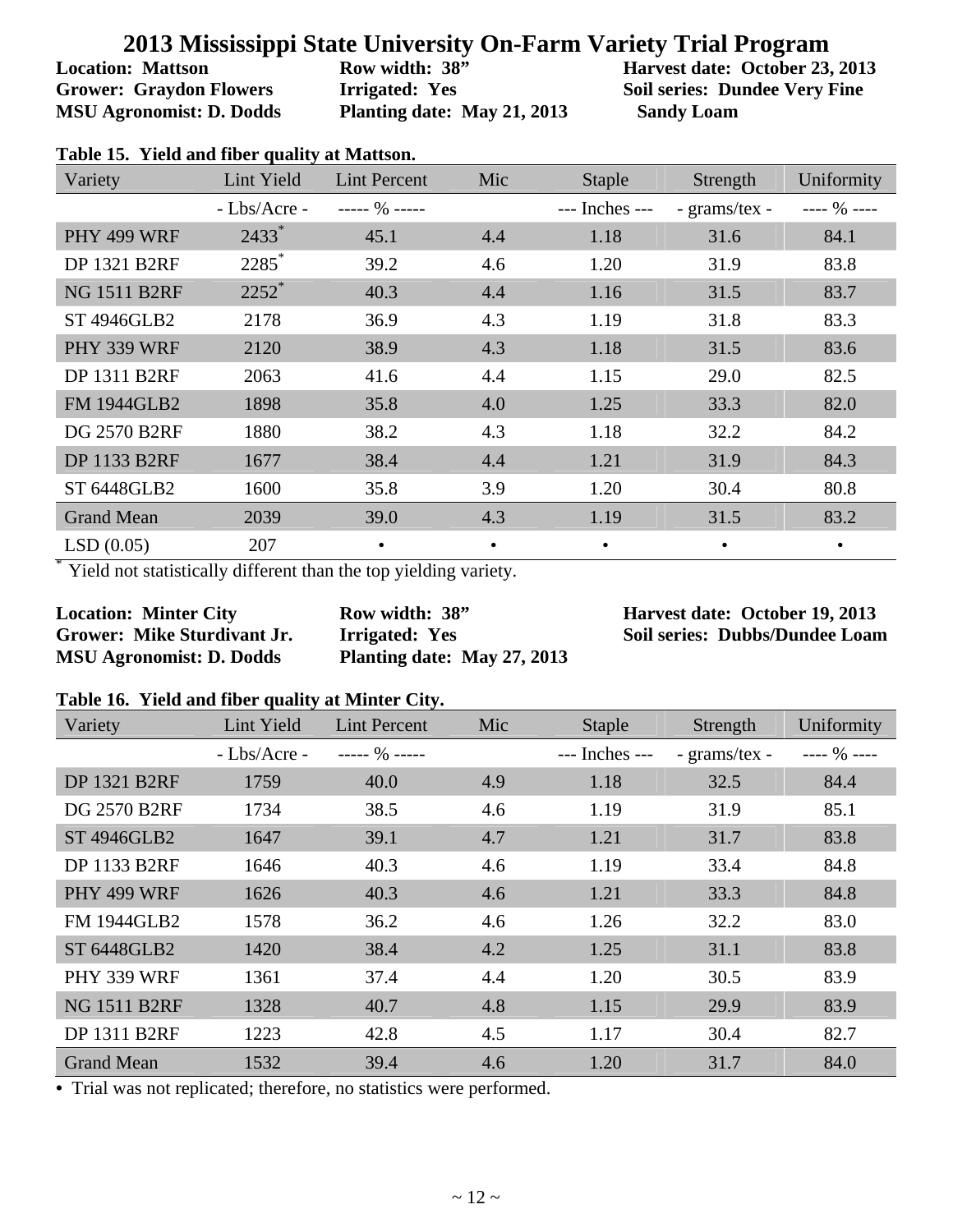**Location: Mattson Grower: Graydon Flowers MSU Agronomist: D. Dodds**  **Row width: 38" Irrigated: Yes Planting date: May 21, 2013**  **Harvest date: October 23, 2013 Soil series: Dundee Very Fine Sandy Loam**

| Variety             | Lint Yield    | <b>Lint Percent</b> | Mic       | Staple         | Strength      | Uniformity   |
|---------------------|---------------|---------------------|-----------|----------------|---------------|--------------|
|                     | $-Lbs/Arcre-$ | $--- 96 ---$        |           | --- Inches --- | - grams/tex - | $--- 96 ---$ |
| PHY 499 WRF         | $2433*$       | 45.1                | 4.4       | 1.18           | 31.6          | 84.1         |
| <b>DP 1321 B2RF</b> | $2285^*$      | 39.2                | 4.6       | 1.20           | 31.9          | 83.8         |
| <b>NG 1511 B2RF</b> | $2252$ *      | 40.3                | 4.4       | 1.16           | 31.5          | 83.7         |
| <b>ST 4946GLB2</b>  | 2178          | 36.9                | 4.3       | 1.19           | 31.8          | 83.3         |
| PHY 339 WRF         | 2120          | 38.9                | 4.3       | 1.18           | 31.5          | 83.6         |
| <b>DP 1311 B2RF</b> | 2063          | 41.6                | 4.4       | 1.15           | 29.0          | 82.5         |
| <b>FM 1944GLB2</b>  | 1898          | 35.8                | 4.0       | 1.25           | 33.3          | 82.0         |
| <b>DG 2570 B2RF</b> | 1880          | 38.2                | 4.3       | 1.18           | 32.2          | 84.2         |
| <b>DP 1133 B2RF</b> | 1677          | 38.4                | 4.4       | 1.21           | 31.9          | 84.3         |
| ST 6448GLB2         | 1600          | 35.8                | 3.9       | 1.20           | 30.4          | 80.8         |
| <b>Grand Mean</b>   | 2039          | 39.0                | 4.3       | 1.19           | 31.5          | 83.2         |
| LSD(0.05)           | 207           | $\bullet$           | $\bullet$ | $\bullet$      | $\bullet$     | $\bullet$    |

**Table 15. Yield and fiber quality at Mattson.** 

Yield not statistically different than the top yielding variety.

**Location: Minter City Grower: Mike Sturdivant Jr. MSU Agronomist: D. Dodds** 

**Row width: 38" Irrigated: Yes Planting date: May 27, 2013**  **Harvest date: October 19, 2013 Soil series: Dubbs/Dundee Loam**

#### **Table 16. Yield and fiber quality at Minter City.**

| Variety             | Lint Yield   | <b>Lint Percent</b> | Mic | <b>Staple</b>  | Strength      | Uniformity   |
|---------------------|--------------|---------------------|-----|----------------|---------------|--------------|
|                     | - Lbs/Acre - | $--- 96 ---$        |     | --- Inches --- | - grams/tex - | $--- 96 ---$ |
| <b>DP 1321 B2RF</b> | 1759         | 40.0                | 4.9 | 1.18           | 32.5          | 84.4         |
| <b>DG 2570 B2RF</b> | 1734         | 38.5                | 4.6 | 1.19           | 31.9          | 85.1         |
| <b>ST 4946GLB2</b>  | 1647         | 39.1                | 4.7 | 1.21           | 31.7          | 83.8         |
| DP 1133 B2RF        | 1646         | 40.3                | 4.6 | 1.19           | 33.4          | 84.8         |
| PHY 499 WRF         | 1626         | 40.3                | 4.6 | 1.21           | 33.3          | 84.8         |
| <b>FM 1944GLB2</b>  | 1578         | 36.2                | 4.6 | 1.26           | 32.2          | 83.0         |
| <b>ST 6448GLB2</b>  | 1420         | 38.4                | 4.2 | 1.25           | 31.1          | 83.8         |
| PHY 339 WRF         | 1361         | 37.4                | 4.4 | 1.20           | 30.5          | 83.9         |
| <b>NG 1511 B2RF</b> | 1328         | 40.7                | 4.8 | 1.15           | 29.9          | 83.9         |
| DP 1311 B2RF        | 1223         | 42.8                | 4.5 | 1.17           | 30.4          | 82.7         |
| <b>Grand Mean</b>   | 1532         | 39.4                | 4.6 | 1.20           | 31.7          | 84.0         |

• Trial was not replicated; therefore, no statistics were performed.